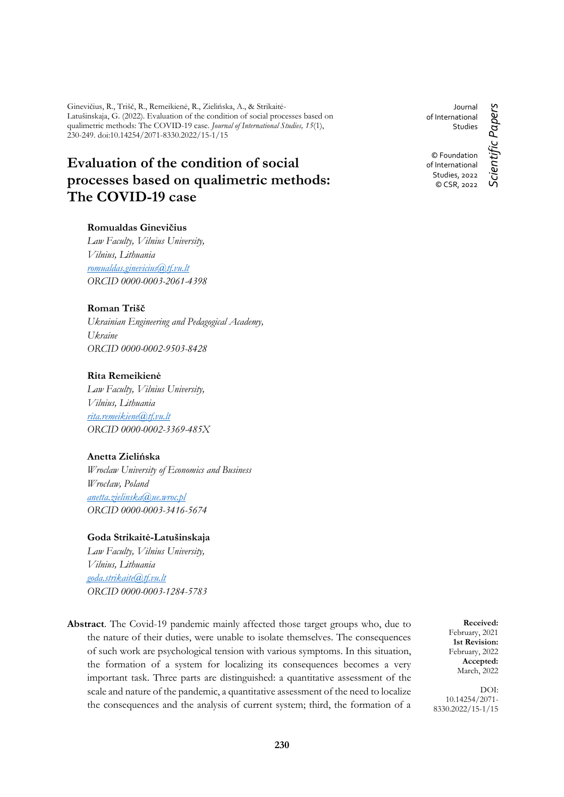Ginevičius, R., Trišč, R., Remeikienė, R., Zielińska, A., & Strikaitė-Latušinskaja, G. (2022). Evaluation of the condition of social processes based on qualimetric methods: The COVID-19 case. *Journal of International Studies, 15*(1), 230-249. doi:10.14254/2071-8330.2022/15-1/15

# **Evaluation of the condition of social processes based on qualimetric methods: The COVID-19 case**

# **Romualdas Ginevičius**

*Law Faculty, Vilnius University, Vilnius, Lithuania [romualdas.ginevicius@tf.vu.lt](mailto:romualdas.ginevicius@tf.vu.lt) ORCID 0000-0003-2061-4398*

# **Roman Trišč**

*Ukrainian Engineering and Pedagogical Academy, Ukraine ORCID 0000-0002-9503-8428*

# **Rita Remeikienė**

*Law Faculty, Vilnius University, Vilnius, Lithuania [rita.remeikiene@tf.vu.lt](mailto:rita.remeikiene@tf.vu.lt) ORCID 0000-0002-3369-485X*

# **Anetta Zielińska**

*Wroclaw University of Economics and Business Wrocław, Poland [anetta.zielinska@ue.wroc.pl](mailto:anetta.zielinska@ue.wroc.pl) ORCID 0000-0003-3416-5674*

# **Goda Strikaitė-Latušinskaja**

*Law Faculty, Vilnius University, Vilnius, Lithuania [goda.strikaite@tf.vu.lt](mailto:goda.strikaite@tf.vu.lt) ORCID 0000-0003-1284-5783*

**Abstract**. The Covid-19 pandemic mainly affected those target groups who, due to the nature of their duties, were unable to isolate themselves. The consequences of such work are psychological tension with various symptoms. In this situation, the formation of a system for localizing its consequences becomes a very important task. Three parts are distinguished: a quantitative assessment of the scale and nature of the pandemic, a quantitative assessment of the need to localize the consequences and the analysis of current system; third, the formation of a

**Received:** February, 2021 **1st Revision:** February, 2022 **Accepted:** March, 2022

DOI: 10.14254/2071- 8330.2022/15-1/15

Journal of International Studies

© Foundation of International Studies, 2022 © CSR, 2022

Scientific Papers *Scientific Papers*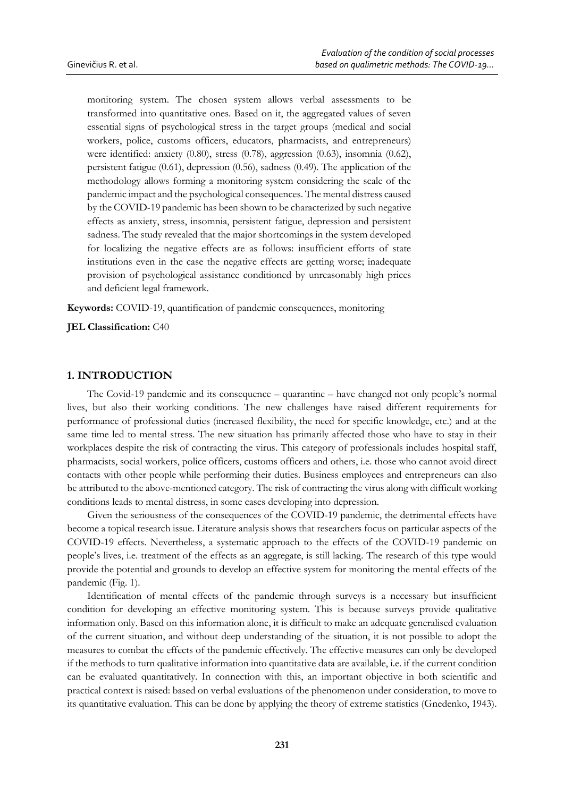monitoring system. The chosen system allows verbal assessments to be transformed into quantitative ones. Based on it, the aggregated values of seven essential signs of psychological stress in the target groups (medical and social workers, police, customs officers, educators, pharmacists, and entrepreneurs) were identified: anxiety (0.80), stress (0.78), aggression (0.63), insomnia (0.62), persistent fatigue (0.61), depression (0.56), sadness (0.49). The application of the methodology allows forming a monitoring system considering the scale of the pandemic impact and the psychological consequences. The mental distress caused by the COVID-19 pandemic has been shown to be characterized by such negative effects as anxiety, stress, insomnia, persistent fatigue, depression and persistent sadness. The study revealed that the major shortcomings in the system developed for localizing the negative effects are as follows: insufficient efforts of state institutions even in the case the negative effects are getting worse; inadequate provision of psychological assistance conditioned by unreasonably high prices and deficient legal framework.

**Keywords:** COVID-19, quantification of pandemic consequences, monitoring

**JEL Classification:** C40

# **1. INTRODUCTION**

The Covid-19 pandemic and its consequence – quarantine – have changed not only people's normal lives, but also their working conditions. The new challenges have raised different requirements for performance of professional duties (increased flexibility, the need for specific knowledge, etc.) and at the same time led to mental stress. The new situation has primarily affected those who have to stay in their workplaces despite the risk of contracting the virus. This category of professionals includes hospital staff, pharmacists, social workers, police officers, customs officers and others, i.e. those who cannot avoid direct contacts with other people while performing their duties. Business employees and entrepreneurs can also be attributed to the above-mentioned category. The risk of contracting the virus along with difficult working conditions leads to mental distress, in some cases developing into depression.

Given the seriousness of the consequences of the COVID-19 pandemic, the detrimental effects have become a topical research issue. Literature analysis shows that researchers focus on particular aspects of the COVID-19 effects. Nevertheless, a systematic approach to the effects of the COVID-19 pandemic on people's lives, i.e. treatment of the effects as an aggregate, is still lacking. The research of this type would provide the potential and grounds to develop an effective system for monitoring the mental effects of the pandemic (Fig. 1).

Identification of mental effects of the pandemic through surveys is a necessary but insufficient condition for developing an effective monitoring system. This is because surveys provide qualitative information only. Based on this information alone, it is difficult to make an adequate generalised evaluation of the current situation, and without deep understanding of the situation, it is not possible to adopt the measures to combat the effects of the pandemic effectively. The effective measures can only be developed if the methods to turn qualitative information into quantitative data are available, i.e. if the current condition can be evaluated quantitatively. In connection with this, an important objective in both scientific and practical context is raised: based on verbal evaluations of the phenomenon under consideration, to move to its quantitative evaluation. This can be done by applying the theory of extreme statistics (Gnedenko, 1943).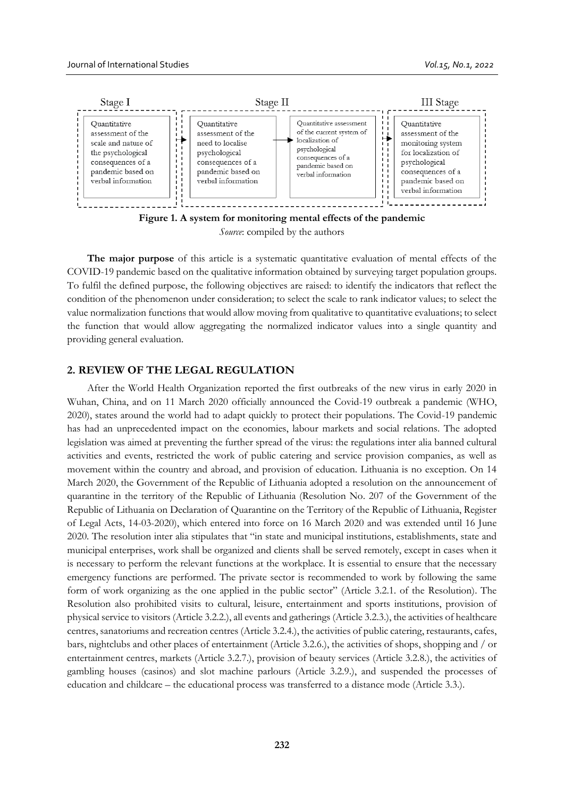

**Figure 1. A system for monitoring mental effects of the pandemic** *Source*: compiled by the authors

**The major purpose** of this article is a systematic quantitative evaluation of mental effects of the COVID-19 pandemic based on the qualitative information obtained by surveying target population groups. To fulfil the defined purpose, the following objectives are raised: to identify the indicators that reflect the condition of the phenomenon under consideration; to select the scale to rank indicator values; to select the value normalization functions that would allow moving from qualitative to quantitative evaluations; to select the function that would allow aggregating the normalized indicator values into a single quantity and providing general evaluation.

# **2. REVIEW OF THE LEGAL REGULATION**

After the World Health Organization reported the first outbreaks of the new virus in early 2020 in Wuhan, China, and on 11 March 2020 officially announced the Covid-19 outbreak a pandemic (WHO, 2020), states around the world had to adapt quickly to protect their populations. The Covid-19 pandemic has had an unprecedented impact on the economies, labour markets and social relations. The adopted legislation was aimed at preventing the further spread of the virus: the regulations inter alia banned cultural activities and events, restricted the work of public catering and service provision companies, as well as movement within the country and abroad, and provision of education. Lithuania is no exception. On 14 March 2020, the Government of the Republic of Lithuania adopted a resolution on the announcement of quarantine in the territory of the Republic of Lithuania (Resolution No. 207 of the Government of the Republic of Lithuania on Declaration of Quarantine on the Territory of the Republic of Lithuania, Register of Legal Acts, 14-03-2020), which entered into force on 16 March 2020 and was extended until 16 June 2020. The resolution inter alia stipulates that "in state and municipal institutions, establishments, state and municipal enterprises, work shall be organized and clients shall be served remotely, except in cases when it is necessary to perform the relevant functions at the workplace. It is essential to ensure that the necessary emergency functions are performed. The private sector is recommended to work by following the same form of work organizing as the one applied in the public sector" (Article 3.2.1. of the Resolution). The Resolution also prohibited visits to cultural, leisure, entertainment and sports institutions, provision of physical service to visitors (Article 3.2.2.), all events and gatherings (Article 3.2.3.), the activities of healthcare centres, sanatoriums and recreation centres (Article 3.2.4.), the activities of public catering, restaurants, cafes, bars, nightclubs and other places of entertainment (Article 3.2.6.), the activities of shops, shopping and / or entertainment centres, markets (Article 3.2.7.), provision of beauty services (Article 3.2.8.), the activities of gambling houses (casinos) and slot machine parlours (Article 3.2.9.), and suspended the processes of education and childcare – the educational process was transferred to a distance mode (Article 3.3.).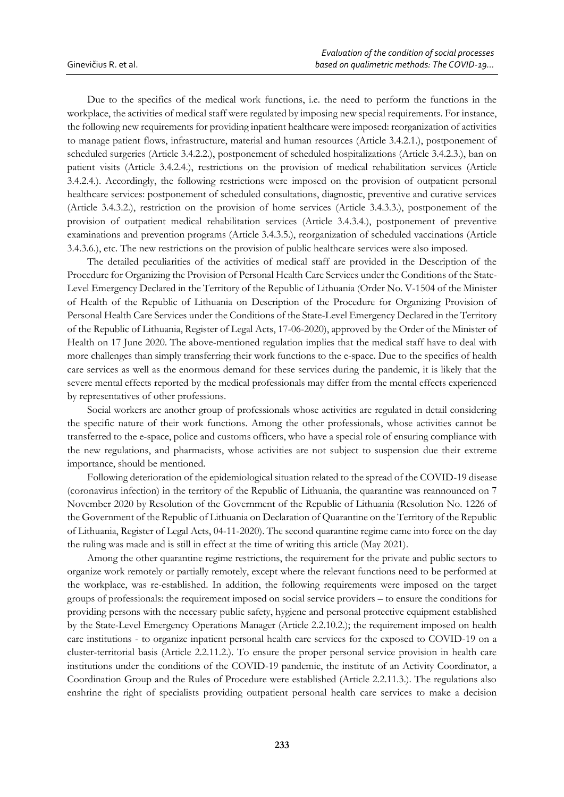Due to the specifics of the medical work functions, i.e. the need to perform the functions in the workplace, the activities of medical staff were regulated by imposing new special requirements. For instance, the following new requirements for providing inpatient healthcare were imposed: reorganization of activities to manage patient flows, infrastructure, material and human resources (Article 3.4.2.1.), postponement of scheduled surgeries (Article 3.4.2.2.), postponement of scheduled hospitalizations (Article 3.4.2.3.), ban on patient visits (Article 3.4.2.4.), restrictions on the provision of medical rehabilitation services (Article 3.4.2.4.). Accordingly, the following restrictions were imposed on the provision of outpatient personal healthcare services: postponement of scheduled consultations, diagnostic, preventive and curative services (Article 3.4.3.2.), restriction on the provision of home services (Article 3.4.3.3.), postponement of the provision of outpatient medical rehabilitation services (Article 3.4.3.4.), postponement of preventive examinations and prevention programs (Article 3.4.3.5.), reorganization of scheduled vaccinations (Article 3.4.3.6.), etc. The new restrictions on the provision of public healthcare services were also imposed.

The detailed peculiarities of the activities of medical staff are provided in the Description of the Procedure for Organizing the Provision of Personal Health Care Services under the Conditions of the State-Level Emergency Declared in the Territory of the Republic of Lithuania (Order No. V-1504 of the Minister of Health of the Republic of Lithuania on Description of the Procedure for Organizing Provision of Personal Health Care Services under the Conditions of the State-Level Emergency Declared in the Territory of the Republic of Lithuania, Register of Legal Acts, 17-06-2020), approved by the Order of the Minister of Health on 17 June 2020. The above-mentioned regulation implies that the medical staff have to deal with more challenges than simply transferring their work functions to the e-space. Due to the specifics of health care services as well as the enormous demand for these services during the pandemic, it is likely that the severe mental effects reported by the medical professionals may differ from the mental effects experienced by representatives of other professions.

Social workers are another group of professionals whose activities are regulated in detail considering the specific nature of their work functions. Among the other professionals, whose activities cannot be transferred to the e-space, police and customs officers, who have a special role of ensuring compliance with the new regulations, and pharmacists, whose activities are not subject to suspension due their extreme importance, should be mentioned.

Following deterioration of the epidemiological situation related to the spread of the COVID-19 disease (coronavirus infection) in the territory of the Republic of Lithuania, the quarantine was reannounced on 7 November 2020 by Resolution of the Government of the Republic of Lithuania (Resolution No. 1226 of the Government of the Republic of Lithuania on Declaration of Quarantine on the Territory of the Republic of Lithuania, Register of Legal Acts, 04-11-2020). The second quarantine regime came into force on the day the ruling was made and is still in effect at the time of writing this article (May 2021).

Among the other quarantine regime restrictions, the requirement for the private and public sectors to organize work remotely or partially remotely, except where the relevant functions need to be performed at the workplace, was re-established. In addition, the following requirements were imposed on the target groups of professionals: the requirement imposed on social service providers – to ensure the conditions for providing persons with the necessary public safety, hygiene and personal protective equipment established by the State-Level Emergency Operations Manager (Article 2.2.10.2.); the requirement imposed on health care institutions - to organize inpatient personal health care services for the exposed to COVID-19 on a cluster-territorial basis (Article 2.2.11.2.). To ensure the proper personal service provision in health care institutions under the conditions of the COVID-19 pandemic, the institute of an Activity Coordinator, a Coordination Group and the Rules of Procedure were established (Article 2.2.11.3.). The regulations also enshrine the right of specialists providing outpatient personal health care services to make a decision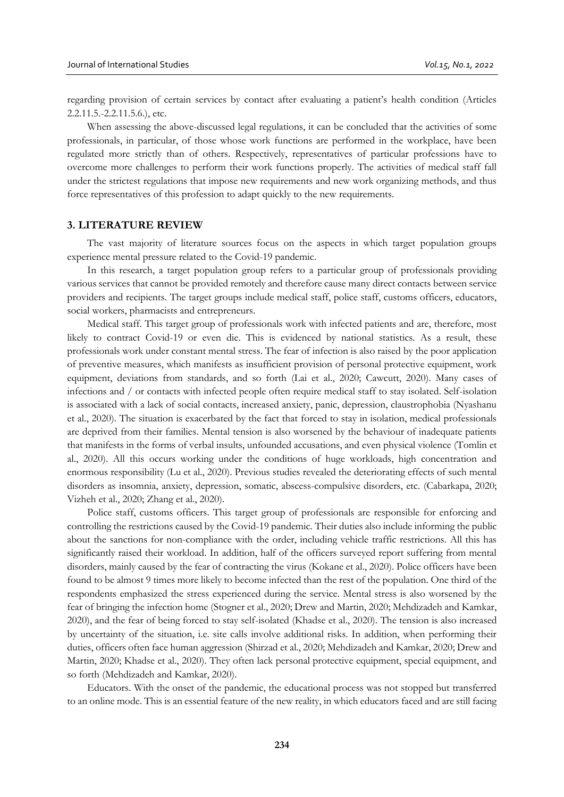regarding provision of certain services by contact after evaluating a patient's health condition (Articles 2.2.11.5.-2.2.11.5.6.), etc.

When assessing the above-discussed legal regulations, it can be concluded that the activities of some professionals, in particular, of those whose work functions are performed in the workplace, have been regulated more strictly than of others. Respectively, representatives of particular professions have to overcome more challenges to perform their work functions properly. The activities of medical staff fall under the strictest regulations that impose new requirements and new work organizing methods, and thus force representatives of this profession to adapt quickly to the new requirements.

#### **3. LITERATURE REVIEW**

The vast majority of literature sources focus on the aspects in which target population groups experience mental pressure related to the Covid-19 pandemic.

In this research, a target population group refers to a particular group of professionals providing various services that cannot be provided remotely and therefore cause many direct contacts between service providers and recipients. The target groups include medical staff, police staff, customs officers, educators, social workers, pharmacists and entrepreneurs.

Medical staff. This target group of professionals work with infected patients and are, therefore, most likely to contract Covid-19 or even die. This is evidenced by national statistics. As a result, these professionals work under constant mental stress. The fear of infection is also raised by the poor application of preventive measures, which manifests as insufficient provision of personal protective equipment, work equipment, deviations from standards, and so forth (Lai et al., 2020; Cawcutt, 2020). Many cases of infections and / or contacts with infected people often require medical staff to stay isolated. Self-isolation is associated with a lack of social contacts, increased anxiety, panic, depression, claustrophobia (Nyashanu et al., 2020). The situation is exacerbated by the fact that forced to stay in isolation, medical professionals are deprived from their families. Mental tension is also worsened by the behaviour of inadequate patients that manifests in the forms of verbal insults, unfounded accusations, and even physical violence (Tomlin et al., 2020). All this occurs working under the conditions of huge workloads, high concentration and enormous responsibility (Lu et al., 2020). Previous studies revealed the deteriorating effects of such mental disorders as insomnia, anxiety, depression, somatic, abscess-compulsive disorders, etc. (Cabarkapa, 2020; Vizheh et al., 2020; Zhang et al., 2020).

Police staff, customs officers. This target group of professionals are responsible for enforcing and controlling the restrictions caused by the Covid-19 pandemic. Their duties also include informing the public about the sanctions for non-compliance with the order, including vehicle traffic restrictions. All this has significantly raised their workload. In addition, half of the officers surveyed report suffering from mental disorders, mainly caused by the fear of contracting the virus (Kokane et al., 2020). Police officers have been found to be almost 9 times more likely to become infected than the rest of the population. One third of the respondents emphasized the stress experienced during the service. Mental stress is also worsened by the fear of bringing the infection home (Stogner et al., 2020; Drew and Martin, 2020; Mehdizadeh and Kamkar, 2020), and the fear of being forced to stay self-isolated (Khadse et al., 2020). The tension is also increased by uncertainty of the situation, i.e. site calls involve additional risks. In addition, when performing their duties, officers often face human aggression (Shirzad et al., 2020; Mehdizadeh and Kamkar, 2020; Drew and Martin, 2020; Khadse et al., 2020). They often lack personal protective equipment, special equipment, and so forth (Mehdizadeh and Kamkar, 2020).

Educators. With the onset of the pandemic, the educational process was not stopped but transferred to an online mode. This is an essential feature of the new reality, in which educators faced and are still facing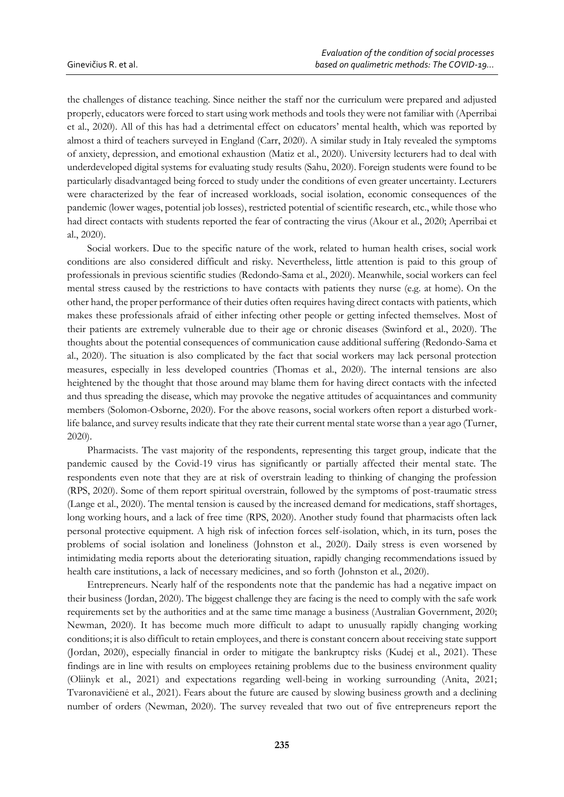the challenges of distance teaching. Since neither the staff nor the curriculum were prepared and adjusted properly, educators were forced to start using work methods and tools they were not familiar with (Aperribai et al., 2020). All of this has had a detrimental effect on educators' mental health, which was reported by almost a third of teachers surveyed in England (Сarr, 2020). A similar study in Italy revealed the symptoms of anxiety, depression, and emotional exhaustion (Matiz et al., 2020). University lecturers had to deal with underdeveloped digital systems for evaluating study results (Sahu, 2020). Foreign students were found to be particularly disadvantaged being forced to study under the conditions of even greater uncertainty. Lecturers were characterized by the fear of increased workloads, social isolation, economic consequences of the pandemic (lower wages, potential job losses), restricted potential of scientific research, etc., while those who had direct contacts with students reported the fear of contracting the virus (Akour et al., 2020; Aperribai et al., 2020).

Social workers. Due to the specific nature of the work, related to human health crises, social work conditions are also considered difficult and risky. Nevertheless, little attention is paid to this group of professionals in previous scientific studies (Redondo-Sama et al., 2020). Meanwhile, social workers can feel mental stress caused by the restrictions to have contacts with patients they nurse (e.g. at home). On the other hand, the proper performance of their duties often requires having direct contacts with patients, which makes these professionals afraid of either infecting other people or getting infected themselves. Most of their patients are extremely vulnerable due to their age or chronic diseases (Swinford et al., 2020). The thoughts about the potential consequences of communication cause additional suffering (Redondo-Sama et al., 2020). The situation is also complicated by the fact that social workers may lack personal protection measures, especially in less developed countries (Thomas et al., 2020). The internal tensions are also heightened by the thought that those around may blame them for having direct contacts with the infected and thus spreading the disease, which may provoke the negative attitudes of acquaintances and community members (Solomon-Osborne, 2020). For the above reasons, social workers often report a disturbed worklife balance, and survey results indicate that they rate their current mental state worse than a year ago (Turner, 2020).

Pharmacists. The vast majority of the respondents, representing this target group, indicate that the pandemic caused by the Covid-19 virus has significantly or partially affected their mental state. The respondents even note that they are at risk of overstrain leading to thinking of changing the profession (RPS, 2020). Some of them report spiritual overstrain, followed by the symptoms of post-traumatic stress (Lange et al., 2020). The mental tension is caused by the increased demand for medications, staff shortages, long working hours, and a lack of free time (RPS, 2020). Another study found that pharmacists often lack personal protective equipment. A high risk of infection forces self-isolation, which, in its turn, poses the problems of social isolation and loneliness (Johnston et al., 2020). Daily stress is even worsened by intimidating media reports about the deteriorating situation, rapidly changing recommendations issued by health care institutions, a lack of necessary medicines, and so forth (Johnston et al., 2020).

Entrepreneurs. Nearly half of the respondents note that the pandemic has had a negative impact on their business (Jordan, 2020). The biggest challenge they are facing is the need to comply with the safe work requirements set by the authorities and at the same time manage a business (Australian Government, 2020; Newman, 2020). It has become much more difficult to adapt to unusually rapidly changing working conditions; it is also difficult to retain employees, and there is constant concern about receiving state support (Jordan, 2020), especially financial in order to mitigate the bankruptcy risks (Kudej et al., 2021). These findings are in line with results on employees retaining problems due to the business environment quality (Oliinyk et al., 2021) and expectations regarding well-being in working surrounding (Anita, 2021; Tvaronavičienė et al., 2021). Fears about the future are caused by slowing business growth and a declining number of orders (Newman, 2020). The survey revealed that two out of five entrepreneurs report the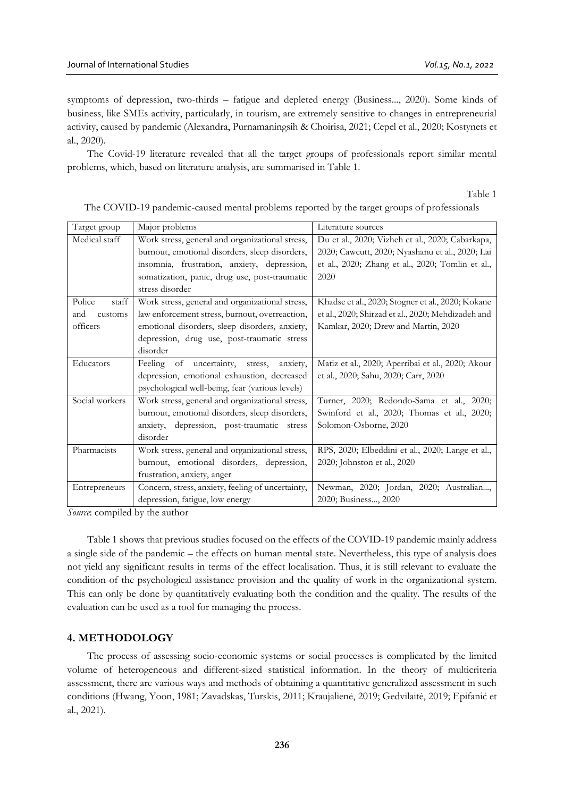symptoms of depression, two-thirds – fatigue and depleted energy (Business..., 2020). Some kinds of business, like SMEs activity, particularly, in tourism, are extremely sensitive to changes in entrepreneurial activity, caused by pandemic (Alexandra, Purnamaningsih & Choirisa, 2021; Cepel et al., 2020; Kostynets et al., 2020).

The Covid-19 literature revealed that all the target groups of professionals report similar mental problems, which, based on literature analysis, are summarised in Table 1.

Table 1

| Target group    | Major problems                                    | Literature sources                                 |
|-----------------|---------------------------------------------------|----------------------------------------------------|
| Medical staff   | Work stress, general and organizational stress,   | Du et al., 2020; Vizheh et al., 2020; Cabarkapa,   |
|                 | burnout, emotional disorders, sleep disorders,    | 2020; Cawcutt, 2020; Nyashanu et al., 2020; Lai    |
|                 | insomnia, frustration, anxiety, depression,       | et al., 2020; Zhang et al., 2020; Tomlin et al.,   |
|                 | somatization, panic, drug use, post-traumatic     | 2020                                               |
|                 | stress disorder                                   |                                                    |
| Police<br>staff | Work stress, general and organizational stress,   | Khadse et al., 2020; Stogner et al., 2020; Kokane  |
| and<br>customs  | law enforcement stress, burnout, overreaction,    | et al., 2020; Shirzad et al., 2020; Mehdizadeh and |
| officers        | emotional disorders, sleep disorders, anxiety,    | Kamkar, 2020; Drew and Martin, 2020                |
|                 | depression, drug use, post-traumatic stress       |                                                    |
|                 | disorder                                          |                                                    |
| Educators       | of uncertainty, stress,<br>Feeling<br>anxiety,    | Matiz et al., 2020; Aperribai et al., 2020; Akour  |
|                 | depression, emotional exhaustion, decreased       | et al., 2020; Sahu, 2020; Carr, 2020               |
|                 | psychological well-being, fear (various levels)   |                                                    |
| Social workers  | Work stress, general and organizational stress,   | Turner, 2020; Redondo-Sama et al., 2020;           |
|                 | burnout, emotional disorders, sleep disorders,    | Swinford et al., 2020; Thomas et al., 2020;        |
|                 | anxiety, depression, post-traumatic stress        | Solomon-Osborne, 2020                              |
|                 | disorder                                          |                                                    |
| Pharmacists     | Work stress, general and organizational stress,   | RPS, 2020; Elbeddini et al., 2020; Lange et al.,   |
|                 | burnout, emotional disorders, depression,         | 2020; Johnston et al., 2020                        |
|                 | frustration, anxiety, anger                       |                                                    |
| Entrepreneurs   | Concern, stress, anxiety, feeling of uncertainty, | Newman, 2020; Jordan, 2020; Australian,            |
|                 | depression, fatigue, low energy                   | 2020; Business, 2020                               |

The COVID-19 pandemic-caused mental problems reported by the target groups of professionals

*Source*: compiled by the author

Table 1 shows that previous studies focused on the effects of the COVID-19 pandemic mainly address a single side of the pandemic – the effects on human mental state. Nevertheless, this type of analysis does not yield any significant results in terms of the effect localisation. Thus, it is still relevant to evaluate the condition of the psychological assistance provision and the quality of work in the organizational system. This can only be done by quantitatively evaluating both the condition and the quality. The results of the evaluation can be used as a tool for managing the process.

# **4. METHODOLOGY**

The process of assessing socio-economic systems or social processes is complicated by the limited volume of heterogeneous and different-sized statistical information. In the theory of multicriteria assessment, there are various ways and methods of obtaining a quantitative generalized assessment in such conditions (Hwang, Yoon, 1981; Zavadskas, Turskis, 2011; Kraujalienė, 2019; Gedvilaitė, 2019; Epifanić et al., 2021).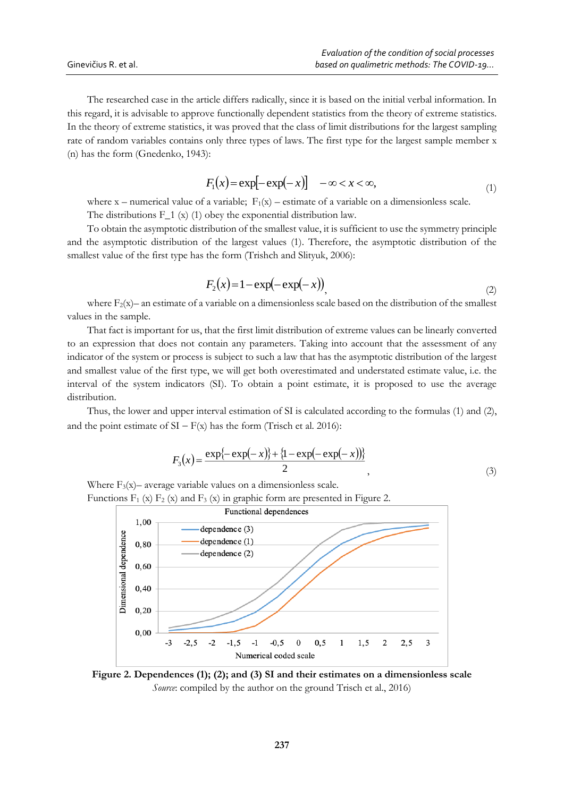The researched case in the article differs radically, since it is based on the initial verbal information. In this regard, it is advisable to approve functionally dependent statistics from the theory of extreme statistics. In the theory of extreme statistics, it was proved that the class of limit distributions for the largest sampling rate of random variables contains only three types of laws. The first type for the largest sample member x (n) has the form (Gnedenko, 1943):

$$
F_1(x) = \exp[-\exp(-x)] \quad -\infty < x < \infty,\tag{1}
$$

where  $x$  – numerical value of a variable;  $F_1(x)$  – estimate of a variable on a dimensionless scale. The distributions  $F_1(x)$  (1) obey the exponential distribution law.

To obtain the asymptotic distribution of the smallest value, it is sufficient to use the symmetry principle and the asymptotic distribution of the largest values (1). Therefore, the asymptotic distribution of the smallest value of the first type has the form (Trishch and Slityuk, 2006):

$$
F_2(x) = 1 - \exp(-\exp(-x)), \tag{2}
$$

where  $F_2(x)$ – an estimate of a variable on a dimensionless scale based on the distribution of the smallest values in the sample.

That fact is important for us, that the first limit distribution of extreme values can be linearly converted to an expression that does not contain any parameters. Taking into account that the assessment of any indicator of the system or process is subject to such a law that has the asymptotic distribution of the largest and smallest value of the first type, we will get both overestimated and understated estimate value, i.e. the interval of the system indicators (SI). To obtain a point estimate, it is proposed to use the average distribution.

Thus, the lower and upper interval estimation of SI is calculated according to the formulas (1) and (2), and the point estimate of  $SI - F(x)$  has the form (Trisch et al. 2016):

$$
F_3(x) = \frac{\exp\{-\exp(-x)\} + \{1 - \exp(-\exp(-x))\}}{2},\tag{3}
$$

Where  $F_3(x)$ – average variable values on a dimensionless scale. Functions  $F_1$  (x)  $F_2$  (x) and  $F_3$  (x) in graphic form are presented in Figure 2.



**Figure 2. Dependences (1); (2); and (3) SI and their estimates on a dimensionless scale** *Source*: compiled by the author on the ground Trisch et al., 2016)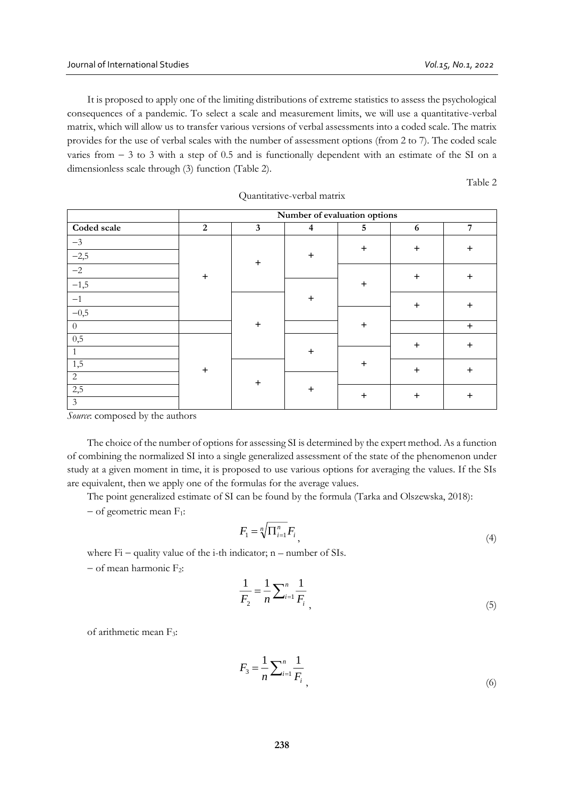It is proposed to apply one of the limiting distributions of extreme statistics to assess the psychological consequences of a pandemic. To select a scale and measurement limits, we will use a quantitative-verbal matrix, which will allow us to transfer various versions of verbal assessments into a coded scale. The matrix provides for the use of verbal scales with the number of assessment options (from 2 to 7). The coded scale varies from  $-3$  to 3 with a step of 0.5 and is functionally dependent with an estimate of the SI on a dimensionless scale through (3) function (Table 2).

Table 2

|                | Number of evaluation options |              |                         |                 |           |            |  |
|----------------|------------------------------|--------------|-------------------------|-----------------|-----------|------------|--|
| Coded scale    | 2                            | $\mathbf{3}$ | $\overline{\mathbf{4}}$ | $5\phantom{.0}$ | 6         | $\sqrt{7}$ |  |
| $-3$           |                              |              |                         | $+$             | $\ddot{}$ | $\ddot{}$  |  |
| $-2,5$         |                              | $\ddot{}$    | $\ddot{}$               |                 |           |            |  |
| $-2$           | $\ddot{}$                    |              |                         |                 | $\ddot{}$ | $\ddot{}$  |  |
| $-1,5$         |                              |              |                         | $+$             |           |            |  |
| $-1$           |                              |              | $\ddot{}$               |                 | $\ddot{}$ | $\ddot{}$  |  |
| $-0,5$         |                              |              |                         |                 |           |            |  |
| $\theta$       |                              | $\ddot{}$    |                         | $\ddot{}$       |           | $\ddot{}$  |  |
| 0,5            |                              |              |                         |                 | $\ddot{}$ | $\ddot{}$  |  |
|                |                              |              | $\ddot{}$               |                 |           |            |  |
| 1,5            | $+$                          |              |                         | $\ddot{}$       | $\ddot{}$ | $\ddot{}$  |  |
| $\overline{2}$ |                              | $\ddot{}$    |                         |                 |           |            |  |
| 2,5            |                              |              | $\ddot{}$               | $+$             | $+$       | $\ddot{}$  |  |
| $\mathfrak{Z}$ |                              |              |                         |                 |           |            |  |

Quantitative-verbal matrix

*Source*: composed by the authors

The choice of the number of options for assessing SI is determined by the expert method. As a function of combining the normalized SI into a single generalized assessment of the state of the phenomenon under study at a given moment in time, it is proposed to use various options for averaging the values. If the SIs are equivalent, then we apply one of the formulas for the average values.

The point generalized estimate of SI can be found by the formula (Tarka and Olszewska, 2018):

 $-$  of geometric mean  $F_1$ :

$$
F_1 = \sqrt[n]{\prod_{i=1}^n} F_i \tag{4}
$$

where  $Fi$  – quality value of the i-th indicator; n – number of SIs.  $-$  of mean harmonic  $F_2$ :

$$
\frac{1}{F_2} = \frac{1}{n} \sum_{i=1}^{n} \frac{1}{F_i},\tag{5}
$$

of arithmetic mean F3:

$$
F_3 = \frac{1}{n} \sum_{i=1}^n \frac{1}{F_i}
$$
\n(6)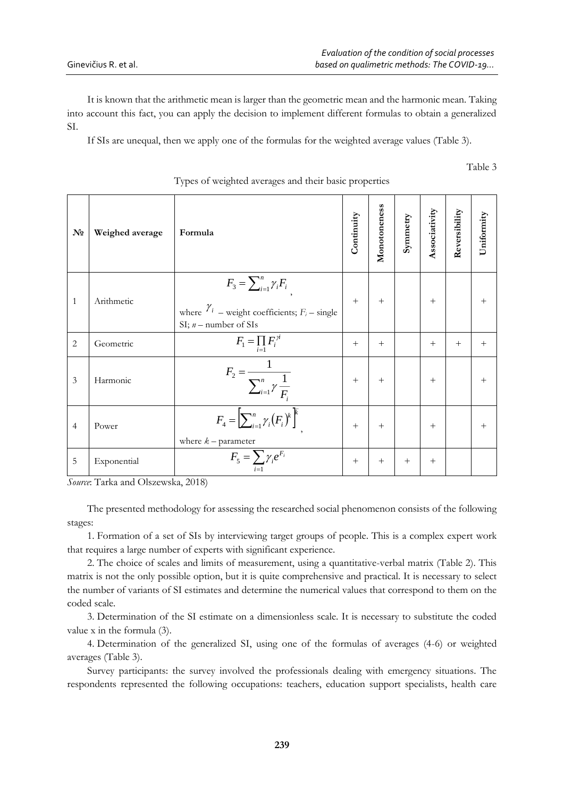Table 3

It is known that the arithmetic mean is larger than the geometric mean and the harmonic mean. Taking into account this fact, you can apply the decision to implement different formulas to obtain a generalized SI.

If SIs are unequal, then we apply one of the formulas for the weighted average values (Table 3).

|                |                 | ৴⊥<br>$\circ$<br>$\circ$                                                                                               | $\mathbf{r}$<br>$\mathbf{r}$ |              |          |               |               |            |
|----------------|-----------------|------------------------------------------------------------------------------------------------------------------------|------------------------------|--------------|----------|---------------|---------------|------------|
| $N_{\rm 2}$    | Weighed average | Formula                                                                                                                | Continuity                   | Monotoneness | Symmetry | Associativity | Reversibility | Uniformity |
| $\mathbf{1}$   | Arithmetic      | $F_3 = \sum_{i=1}^n \gamma_i F_i$<br>where $\gamma_i$ – weight coefficients; $F_i$ – single<br>SI; $n$ – number of SIs | $+$                          | $+$          |          | $^{+}$        |               | $^{+}$     |
| $\overline{2}$ | Geometric       | $F_1 = \prod_{i=1} F_i^{\gamma i}$                                                                                     | $+$                          | $+$          |          | $+$           | $+$           | $+$        |
| 3              | Harmonic        | $F_2 = \frac{1}{\sum_{i=1}^{n} \gamma \frac{1}{F_i}}$                                                                  | $+$                          | $+$          |          | $+$           |               | $^{+}$     |
| $\overline{4}$ | Power           | $F_4 = \left[\sum_{i=1}^n \gamma_i (F_i)^k\right]^{\overline{k}}$<br>where $k$ – parameter                             | $+$                          | $+$          |          | $+$           |               | $^{+}$     |
| 5              | Exponential     | $F_5 = \sum \gamma_i e^{F_i}$                                                                                          | $^{+}$                       | $+$          | $+$      | $+$           |               |            |

# Types of weighted averages and their basic properties

*Source*: Tarka and Olszewska, 2018)

The presented methodology for assessing the researched social phenomenon consists of the following stages:

1. Formation of a set of SIs by interviewing target groups of people. This is a complex expert work that requires a large number of experts with significant experience.

2. The choice of scales and limits of measurement, using a quantitative-verbal matrix (Table 2). This matrix is not the only possible option, but it is quite comprehensive and practical. It is necessary to select the number of variants of SI estimates and determine the numerical values that correspond to them on the coded scale.

3. Determination of the SI estimate on a dimensionless scale. It is necessary to substitute the coded value x in the formula (3).

4. Determination of the generalized SI, using one of the formulas of averages (4-6) or weighted averages (Table 3).

Survey participants: the survey involved the professionals dealing with emergency situations. The respondents represented the following occupations: teachers, education support specialists, health care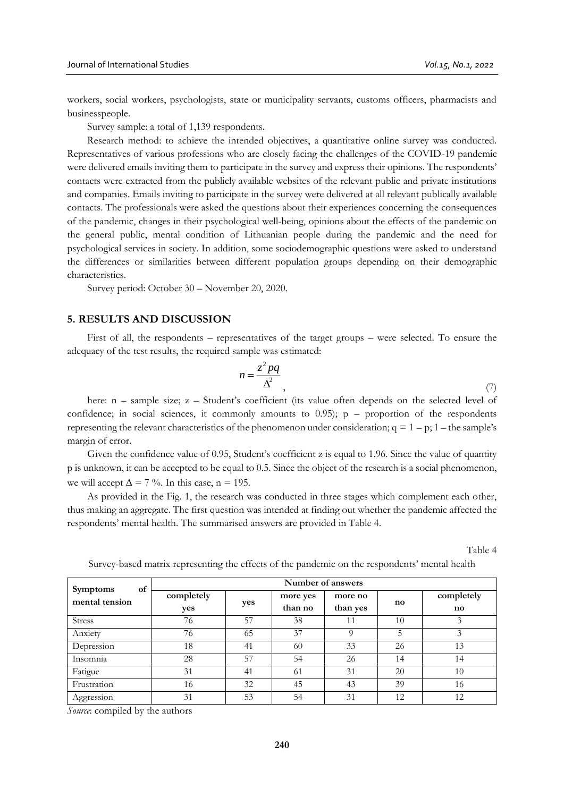workers, social workers, psychologists, state or municipality servants, customs officers, pharmacists and businesspeople.

Survey sample: a total of 1,139 respondents.

Research method: to achieve the intended objectives, a quantitative online survey was conducted. Representatives of various professions who are closely facing the challenges of the COVID-19 pandemic were delivered emails inviting them to participate in the survey and express their opinions. The respondents' contacts were extracted from the publicly available websites of the relevant public and private institutions and companies. Emails inviting to participate in the survey were delivered at all relevant publically available contacts. The professionals were asked the questions about their experiences concerning the consequences of the pandemic, changes in their psychological well-being, opinions about the effects of the pandemic on the general public, mental condition of Lithuanian people during the pandemic and the need for psychological services in society. In addition, some sociodemographic questions were asked to understand the differences or similarities between different population groups depending on their demographic characteristics.

Survey period: October 30 – November 20, 2020.

# **5. RESULTS AND DISCUSSION**

First of all, the respondents – representatives of the target groups – were selected. To ensure the adequacy of the test results, the required sample was estimated:

$$
n = \frac{z^2 pq}{\Delta^2},\tag{7}
$$

here: n – sample size; z – Student's coefficient (its value often depends on the selected level of confidence; in social sciences, it commonly amounts to  $(0.95)$ ; p – proportion of the respondents representing the relevant characteristics of the phenomenon under consideration;  $q = 1 - p$ ; 1 – the sample's margin of error.

Given the confidence value of 0.95, Student's coefficient z is equal to 1.96. Since the value of quantity p is unknown, it can be accepted to be equal to 0.5. Since the object of the research is a social phenomenon, we will accept  $\Delta = 7 \%$ . In this case,  $n = 195$ .

As provided in the Fig. 1, the research was conducted in three stages which complement each other, thus making an aggregate. The first question was intended at finding out whether the pandemic affected the respondents' mental health. The summarised answers are provided in Table 4.

Table 4

| of                                | Number of answers |     |                     |                     |    |                                      |  |  |
|-----------------------------------|-------------------|-----|---------------------|---------------------|----|--------------------------------------|--|--|
| <b>Symptoms</b><br>mental tension | completely<br>yes | yes | more yes<br>than no | more no<br>than yes | no | completely<br>$\mathbf{n}\mathbf{o}$ |  |  |
| <b>Stress</b>                     | 76                | 57  | 38                  |                     | 10 |                                      |  |  |
| Anxiety                           | 76                | 65  | 37                  |                     | 5  |                                      |  |  |
| Depression                        | 18                | 41  | 60                  | 33                  | 26 | 13                                   |  |  |
| Insomnia                          | 28                | 57  | 54                  | 26                  | 14 | 14                                   |  |  |
| Fatigue                           | 31                | 41  | 61                  | 31                  | 20 | 10                                   |  |  |
| Frustration                       | 16                | 32  | 45                  | 43                  | 39 | 16                                   |  |  |
| Aggression                        | 31                | 53  | 54                  | 31                  | 12 | 12                                   |  |  |

Survey-based matrix representing the effects of the pandemic on the respondents' mental health

*Source*: compiled by the authors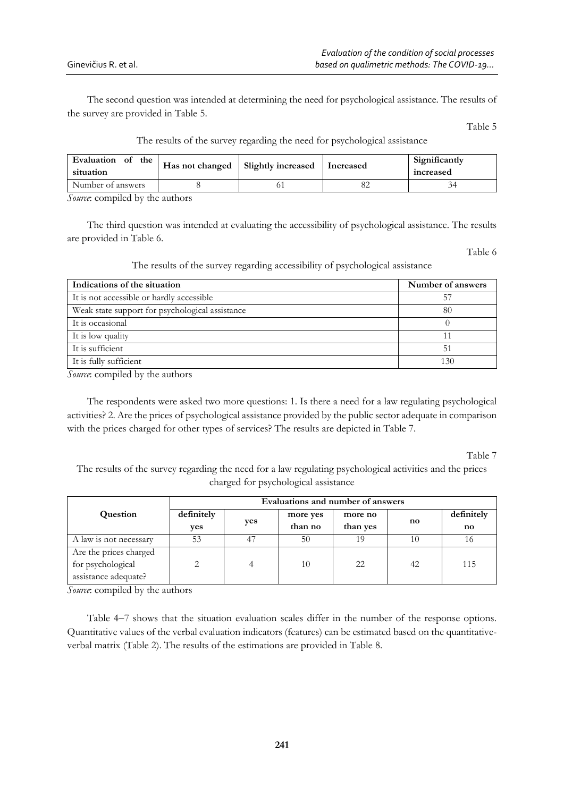The second question was intended at determining the need for psychological assistance. The results of the survey are provided in Table 5.

Table 5

| The results of the survey regarding the need for psychological assistance |  |  |  |  |
|---------------------------------------------------------------------------|--|--|--|--|
|                                                                           |  |  |  |  |

| Evaluation of the<br>situation | Has not changed | <b>Slightly increased</b> | Increased | Significantly<br>increased |
|--------------------------------|-----------------|---------------------------|-----------|----------------------------|
| Number of answers              |                 |                           |           |                            |
|                                |                 |                           |           |                            |

*Source*: compiled by the authors

The third question was intended at evaluating the accessibility of psychological assistance. The results are provided in Table 6.

Table 6

The results of the survey regarding accessibility of psychological assistance

| Indications of the situation                    | Number of answers |
|-------------------------------------------------|-------------------|
| It is not accessible or hardly accessible       | 57                |
| Weak state support for psychological assistance | 80                |
| It is occasional                                |                   |
| It is low quality                               |                   |
| It is sufficient                                | 51                |
| It is fully sufficient                          | 130               |

*Source*: compiled by the authors

The respondents were asked two more questions: 1. Is there a need for a law regulating psychological activities? 2. Are the prices of psychological assistance provided by the public sector adequate in comparison with the prices charged for other types of services? The results are depicted in Table 7.

Table 7

The results of the survey regarding the need for a law regulating psychological activities and the prices charged for psychological assistance

|                        | Evaluations and number of answers |     |          |          |                        |            |  |  |
|------------------------|-----------------------------------|-----|----------|----------|------------------------|------------|--|--|
| Question               | definitely                        | yes | more yes | more no  | $\mathbf{n}\mathbf{o}$ | definitely |  |  |
|                        | ves                               |     | than no  | than yes |                        | no         |  |  |
| A law is not necessary | 53                                | 47  | 50       | 19       | 10                     | 16         |  |  |
| Are the prices charged |                                   |     |          |          |                        |            |  |  |
| for psychological      | 2                                 |     | 10       | 22       | 42                     | 115        |  |  |
| assistance adequate?   |                                   |     |          |          |                        |            |  |  |

*Source*: compiled by the authors

Table 47 shows that the situation evaluation scales differ in the number of the response options. Quantitative values of the verbal evaluation indicators (features) can be estimated based on the quantitativeverbal matrix (Table 2). The results of the estimations are provided in Table 8.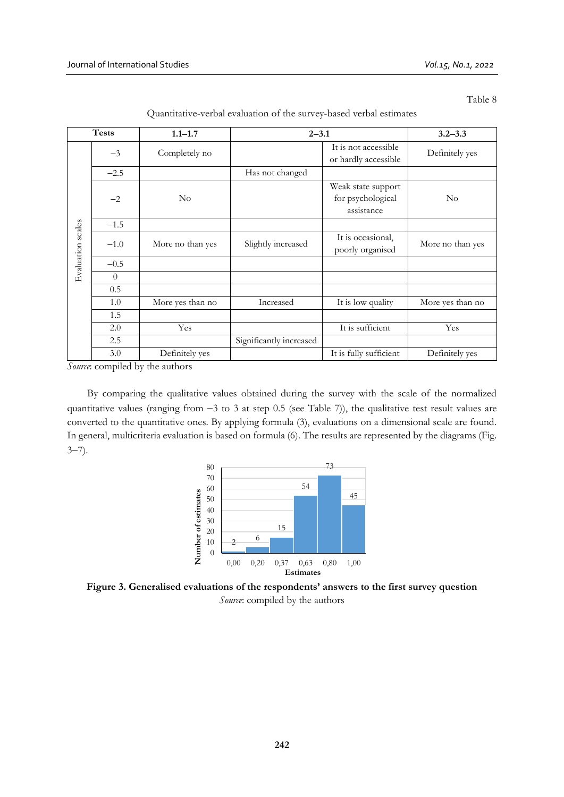Table 8

|                   | <b>Tests</b> | $1.1 - 1.7$      |                         | $2 - 3.1$                                             |                  |  |  |
|-------------------|--------------|------------------|-------------------------|-------------------------------------------------------|------------------|--|--|
|                   | $-3$         | Completely no    |                         | It is not accessible<br>or hardly accessible          | Definitely yes   |  |  |
|                   | $-2.5$       |                  | Has not changed         |                                                       |                  |  |  |
|                   | $-2$         | $\rm No$         |                         | Weak state support<br>for psychological<br>assistance | $\rm No$         |  |  |
|                   | $-1.5$       |                  |                         |                                                       |                  |  |  |
| Evaluation scales | $-1.0$       | More no than yes | Slightly increased      | It is occasional,<br>poorly organised                 | More no than yes |  |  |
|                   | $-0.5$       |                  |                         |                                                       |                  |  |  |
|                   | $\theta$     |                  |                         |                                                       |                  |  |  |
|                   | 0.5          |                  |                         |                                                       |                  |  |  |
|                   | 1.0          | More yes than no | Increased               | It is low quality                                     | More yes than no |  |  |
|                   | 1.5          |                  |                         |                                                       |                  |  |  |
|                   | 2.0          | Yes              |                         | It is sufficient                                      | Yes              |  |  |
|                   | 2.5          |                  | Significantly increased |                                                       |                  |  |  |
|                   | 3.0          | Definitely yes   |                         | It is fully sufficient                                | Definitely yes   |  |  |

*Source*: compiled by the authors

By comparing the qualitative values obtained during the survey with the scale of the normalized quantitative values (ranging from  $-3$  to 3 at step 0.5 (see Table 7)), the qualitative test result values are converted to the quantitative ones. By applying formula (3), evaluations on a dimensional scale are found. In general, multicriteria evaluation is based on formula (6). The results are represented by the diagrams (Fig.  $3 - 7$ ).



**Figure 3. Generalised evaluations of the respondents' answers to the first survey question** *Source*: compiled by the authors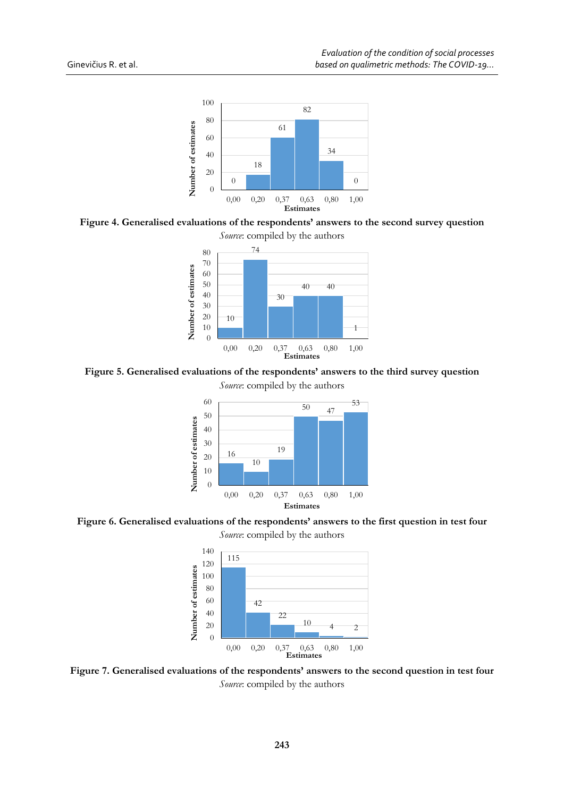

**Figure 4. Generalised evaluations of the respondents' answers to the second survey question**



**Figure 5. Generalised evaluations of the respondents' answers to the third survey question**

*Source*: compiled by the authors



**Figure 6. Generalised evaluations of the respondents' answers to the first question in test four** *Source*: compiled by the authors



**Figure 7. Generalised evaluations of the respondents' answers to the second question in test four** *Source*: compiled by the authors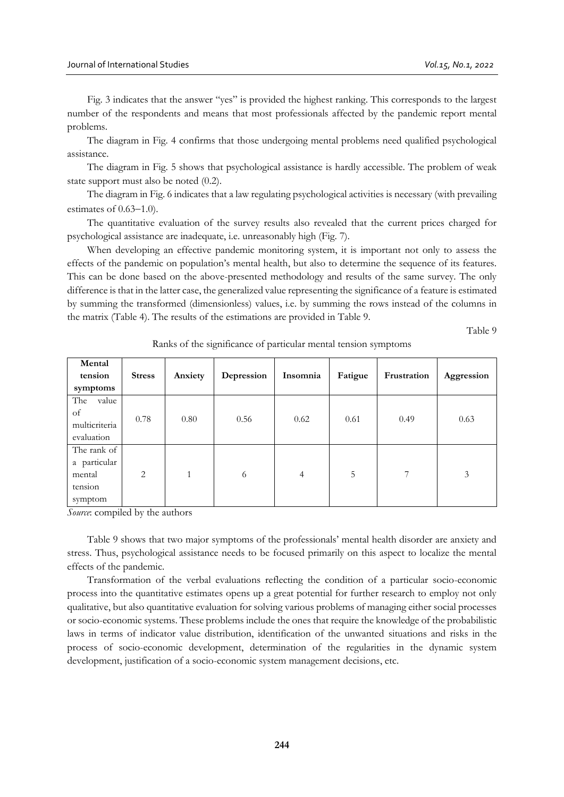Fig. 3 indicates that the answer "yes" is provided the highest ranking. This corresponds to the largest number of the respondents and means that most professionals affected by the pandemic report mental problems.

The diagram in Fig. 4 confirms that those undergoing mental problems need qualified psychological assistance.

The diagram in Fig. 5 shows that psychological assistance is hardly accessible. The problem of weak state support must also be noted (0.2).

The diagram in Fig. 6 indicates that a law regulating psychological activities is necessary (with prevailing estimates of  $0.63-1.0$ ).

The quantitative evaluation of the survey results also revealed that the current prices charged for psychological assistance are inadequate, i.e. unreasonably high (Fig. 7).

When developing an effective pandemic monitoring system, it is important not only to assess the effects of the pandemic on population's mental health, but also to determine the sequence of its features. This can be done based on the above-presented methodology and results of the same survey. The only difference is that in the latter case, the generalized value representing the significance of a feature is estimated by summing the transformed (dimensionless) values, i.e. by summing the rows instead of the columns in the matrix (Table 4). The results of the estimations are provided in Table 9.

Table 9

| Mental<br>tension<br>symptoms                               | <b>Stress</b>  | Anxiety      | Depression | Insomnia       | Fatigue | Frustration | Aggression |
|-------------------------------------------------------------|----------------|--------------|------------|----------------|---------|-------------|------------|
| The<br>value<br>of<br>multicriteria<br>evaluation           | 0.78           | 0.80         | 0.56       | 0.62           | 0.61    | 0.49        | 0.63       |
| The rank of<br>a particular<br>mental<br>tension<br>symptom | $\overline{2}$ | $\mathbf{1}$ | 6          | $\overline{4}$ | 5       | 7           | 3          |

Ranks of the significance of particular mental tension symptoms

*Source*: compiled by the authors

Table 9 shows that two major symptoms of the professionals' mental health disorder are anxiety and stress. Thus, psychological assistance needs to be focused primarily on this aspect to localize the mental effects of the pandemic.

Transformation of the verbal evaluations reflecting the condition of a particular socio-economic process into the quantitative estimates opens up a great potential for further research to employ not only qualitative, but also quantitative evaluation for solving various problems of managing either social processes or socio-economic systems. These problems include the ones that require the knowledge of the probabilistic laws in terms of indicator value distribution, identification of the unwanted situations and risks in the process of socio-economic development, determination of the regularities in the dynamic system development, justification of a socio-economic system management decisions, etc.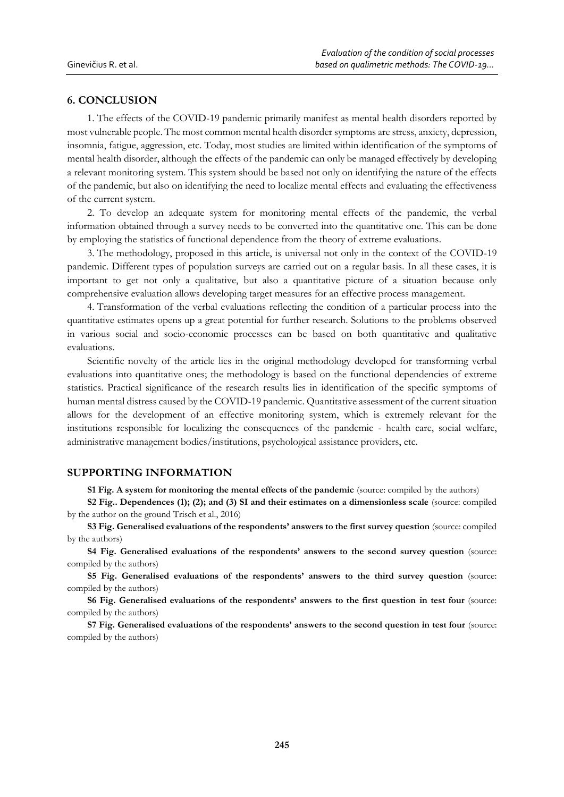# **6. CONCLUSION**

1. The effects of the COVID-19 pandemic primarily manifest as mental health disorders reported by most vulnerable people. The most common mental health disorder symptoms are stress, anxiety, depression, insomnia, fatigue, aggression, etc. Today, most studies are limited within identification of the symptoms of mental health disorder, although the effects of the pandemic can only be managed effectively by developing a relevant monitoring system. This system should be based not only on identifying the nature of the effects of the pandemic, but also on identifying the need to localize mental effects and evaluating the effectiveness of the current system.

2. To develop an adequate system for monitoring mental effects of the pandemic, the verbal information obtained through a survey needs to be converted into the quantitative one. This can be done by employing the statistics of functional dependence from the theory of extreme evaluations.

3. The methodology, proposed in this article, is universal not only in the context of the COVID-19 pandemic. Different types of population surveys are carried out on a regular basis. In all these cases, it is important to get not only a qualitative, but also a quantitative picture of a situation because only comprehensive evaluation allows developing target measures for an effective process management.

4. Transformation of the verbal evaluations reflecting the condition of a particular process into the quantitative estimates opens up a great potential for further research. Solutions to the problems observed in various social and socio-economic processes can be based on both quantitative and qualitative evaluations.

Scientific novelty of the article lies in the original methodology developed for transforming verbal evaluations into quantitative ones; the methodology is based on the functional dependencies of extreme statistics. Practical significance of the research results lies in identification of the specific symptoms of human mental distress caused by the COVID-19 pandemic. Quantitative assessment of the current situation allows for the development of an effective monitoring system, which is extremely relevant for the institutions responsible for localizing the consequences of the pandemic - health care, social welfare, administrative management bodies/institutions, psychological assistance providers, etc.

# **SUPPORTING INFORMATION**

**S1 Fig. A system for monitoring the mental effects of the pandemic** (source: compiled by the authors)

**S2 Fig.. Dependences (1); (2); and (3) SI and their estimates on a dimensionless scale** (source: compiled by the author on the ground Trisch et al., 2016)

**S3 Fig. Generalised evaluations of the respondents' answers to the first survey question** (source: compiled by the authors)

**S4 Fig. Generalised evaluations of the respondents' answers to the second survey question** (source: compiled by the authors)

**S5 Fig. Generalised evaluations of the respondents' answers to the third survey question** (source: compiled by the authors)

**S6 Fig. Generalised evaluations of the respondents' answers to the first question in test four** (source: compiled by the authors)

**S7 Fig. Generalised evaluations of the respondents' answers to the second question in test four** (source: compiled by the authors)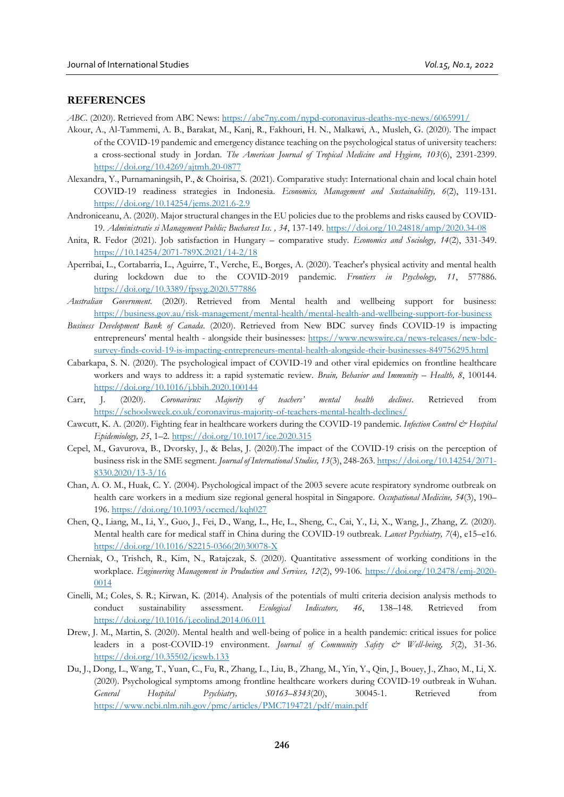# **REFERENCES**

*ABC*. (2020). Retrieved from ABC News:<https://abc7ny.com/nypd-coronavirus-deaths-nyc-news/6065991/>

- Akour, A., Al-Tammemi, A. B., Barakat, M., Kanj, R., Fakhouri, H. N., Malkawi, A., Musleh, G. (2020). The impact of the COVID-19 pandemic and emergency distance teaching on the psychological status of university teachers: a cross-sectional study in Jordan. *The American Journal of Tropical Medicine and Hygiene, 103*(6), 2391-2399. <https://doi.org/10.4269/ajtmh.20-0877>
- Alexandra, Y., Purnamaningsih, P., & Choirisa, S. (2021). Comparative study: International chain and local chain hotel COVID-19 readiness strategies in Indonesia. *Economics, Management and Sustainability, 6*(2), 119-131. <https://doi.org/10.14254/jems.2021.6-2.9>
- Androniceanu, A. (2020). Major structural changes in the EU policies due to the problems and risks caused by COVID-19. *Administratie si Management Public; Bucharest Iss. , 34*, 137-149.<https://doi.org/10.24818/amp/2020.34-08>
- Anita, R. Fedor (2021). Job satisfaction in Hungary comparative study. *Economics and Sociology, 14*(2), 331-349. [https://10.14254/2071-789X.2021/14-2/18](https://10.0.55.174/2071-789X.2021/14-2/18)
- Aperribai, L., Cortabarria, L., Aguirre, T., Verche, E., Borges, A. (2020). Teacher's physical activity and mental health during lockdown due to the COVID-2019 pandemic. *Frontiers in Psychology, 11*, 577886. <https://doi.org/10.3389/fpsyg.2020.577886>
- *Australian Government*. (2020). Retrieved from Mental health and wellbeing support for business: <https://business.gov.au/risk-management/mental-health/mental-health-and-wellbeing-support-for-business>
- *Business Development Bank of Canada*. (2020). Retrieved from New BDC survey finds COVID-19 is impacting entrepreneurs' mental health - alongside their businesses: [https://www.newswire.ca/news-releases/new-bdc](https://www.newswire.ca/news-releases/new-bdc-survey-finds-covid-19-is-impacting-entrepreneurs-mental-health-alongside-their-businesses-849756295.html)[survey-finds-covid-19-is-impacting-entrepreneurs-mental-health-alongside-their-businesses-849756295.html](https://www.newswire.ca/news-releases/new-bdc-survey-finds-covid-19-is-impacting-entrepreneurs-mental-health-alongside-their-businesses-849756295.html)
- Cabarkapa, S. N. (2020). The psychological impact of COVID-19 and other viral epidemics on frontline healthcare workers and ways to address it: a rapid systematic review. *Brain, Behavior and Immunity – Health, 8*, 100144. <https://doi.org/10.1016/j.bbih.2020.100144>
- Сarr, J. (2020). *Coronavirus: Majority of teachers' mental health declines*. Retrieved from <https://schoolsweek.co.uk/coronavirus-majority-of-teachers-mental-health-declines/>
- Cawcutt, K. A. (2020). Fighting fear in healthcare workers during the COVID-19 pandemic. *Infection Control & Hospital Epidemiology, 25*, 1–2[. https://doi.org/10.1017/ice.2020.315](https://doi.org/10.1017/ice.2020.315)
- Cepel, M., Gavurova, B., Dvorsky, J., & Belas, J. (2020).The impact of the COVID-19 crisis on the perception of business risk in the SME segment. *Journal of International Studies, 13*(3), 248-263[. https://doi.org/10.14254/2071-](https://doi.org/10.14254/2071-8330.2020/13-3/16) [8330.2020/13-3/16](https://doi.org/10.14254/2071-8330.2020/13-3/16)
- Chan, A. O. M., Huak, C. Y. (2004). Psychological impact of the 2003 severe acute respiratory syndrome outbreak on health care workers in a medium size regional general hospital in Singapore. *Occupational Medicine, 54*(3), 190– 196.<https://doi.org/10.1093/occmed/kqh027>
- Chen, Q., Liang, M., Li, Y., Guo, J., Fei, D., Wang, L., He, L., Sheng, C., Cai, Y., Li, X., Wang, J., Zhang, Z. (2020). Mental health care for medical staff in China during the COVID-19 outbreak. *Lancet Psychiatry, 7*(4), e15–e16. [https://doi.org/10.1016/S2215-0366\(20\)30078-X](https://doi.org/10.1016/S2215-0366(20)30078-X)
- Cherniak, O., Trishch, R., Kim, N., Ratajczak, S. (2020). Quantitative assessment of working conditions in the workplace. *Engineering Management in Production and Services, 12*(2), 99-106. [https://doi.org/10.2478/emj-2020-](https://doi.org/10.2478/emj-2020-0014) [0014](https://doi.org/10.2478/emj-2020-0014)
- Cinelli, M.; Coles, S. R.; Kirwan, K. (2014). Analysis of the potentials of multi criteria decision analysis methods to conduct sustainability assessment. *Ecological Indicators, 46*, 138–148. Retrieved from <https://doi.org/10.1016/j.ecolind.2014.06.011>
- Drew, J. M., Martin, S. (2020). Mental health and well-being of police in a health pandemic: critical issues for police leaders in a post-COVID-19 environment. *Journal of Community Safety & Well-being, 5*(2), 31-36. <https://doi.org/10.35502/jcswb.133>
- Du, J., Dong, L., Wang, T., Yuan, C., Fu, R., Zhang, L., Liu, B., Zhang, M., Yin, Y., Qin, J., Bouey, J., Zhao, M., Li, X. (2020). Psychological symptoms among frontline healthcare workers during COVID-19 outbreak in Wuhan. *General Hospital Psychiatry, S0163–8343*(20), 30045-1. Retrieved from <https://www.ncbi.nlm.nih.gov/pmc/articles/PMC7194721/pdf/main.pdf>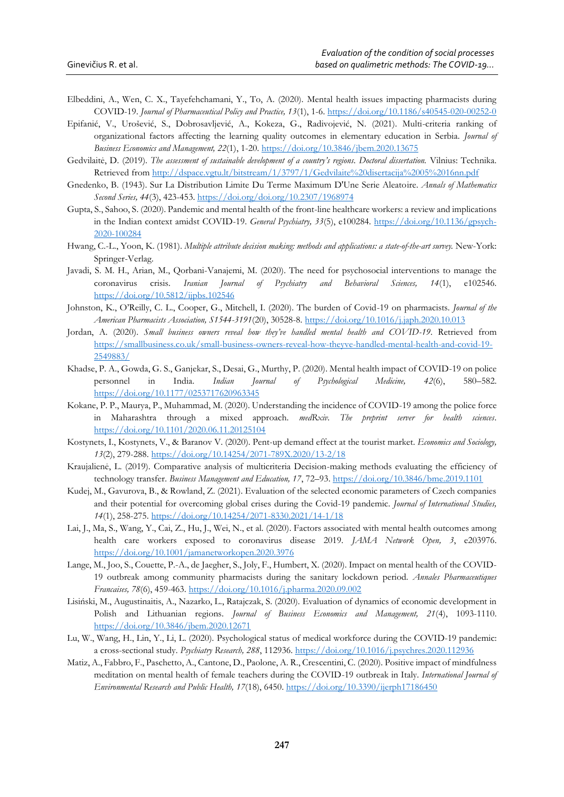- Elbeddini, A., Wen, C. X., Tayefehchamani, Y., To, A. (2020). Mental health issues impacting pharmacists during COVID-19. *Journal of Pharmaceutical Policy and Practice, 13*(1), 1-6[. https://doi.org/10.1186/s40545-020-00252-0](https://doi.org/10.1186/s40545-020-00252-0)
- Epifanić, V., Urošević, S., Dobrosavljević, A., Kokeza, G., Radivojević, N. (2021). Multi-criteria ranking of organizational factors affecting the learning quality outcomes in elementary education in Serbia. *Journal of Business Economics and Management, 22*(1), 1-20.<https://doi.org/10.3846/jbem.2020.13675>
- Gedvilaitė, D. (2019). *The assessment of sustainable development of a country's regions. Doctoral dissertation.* Vilnius: Technika. Retrieved fro[m http://dspace.vgtu.lt/bitstream/1/3797/1/Gedvilaite%20disertacija%2005%2016nn.pdf](http://dspace.vgtu.lt/bitstream/1/3797/1/Gedvilaite%20disertacija%2005%2016nn.pdf)
- Gnedenko, B. (1943). Sur La Distribution Limite Du Terme Maximum D'Une Serie Aleatoire. *Annals of Mathematics Second Series, 44*(3), 423-453.<https://doi.org/doi.org/10.2307/1968974>
- Gupta, S., Sahoo, S. (2020). Pandemic and mental health of the front-line healthcare workers: a review and implications in the Indian context amidst COVID-19. *General Psychiatry, 33*(5), e100284. [https://doi.org/10.1136/gpsych-](https://doi.org/10.1136/gpsych-2020-100284)[2020-100284](https://doi.org/10.1136/gpsych-2020-100284)
- Hwang, C.-L., Yoon, K. (1981). *Multiple attribute decision making: methods and applications: a state-of-the-art survey.* New-York: Springer-Verlag.
- Javadi, S. M. H., Arian, M., Qorbani-Vanajemi, M. (2020). The need for psychosocial interventions to manage the coronavirus crisis. *Iranian Journal of Psychiatry and Behavioral Sciences, 14*(1), e102546. <https://doi.org/10.5812/ijpbs.102546>
- Johnston, K., O'Reilly, C. L., Cooper, G., Mitchell, I. (2020). The burden of Covid-19 on pharmacists. *Journal of the American Pharmacists Association, S1544-3191*(20), 30528-8.<https://doi.org/10.1016/j.japh.2020.10.013>
- Jordan, A. (2020). *Small business owners reveal how they've handled mental health and COVID-19*. Retrieved from [https://smallbusiness.co.uk/small-business-owners-reveal-how-theyve-handled-mental-health-and-covid-19-](https://smallbusiness.co.uk/small-business-owners-reveal-how-theyve-handled-mental-health-and-covid-19-2549883/) [2549883/](https://smallbusiness.co.uk/small-business-owners-reveal-how-theyve-handled-mental-health-and-covid-19-2549883/)
- Khadse, P. A., Gowda, G. S., Ganjekar, S., Desai, G., Murthy, P. (2020). Mental health impact of COVID-19 on police personnel in India. *Indian Journal of Psychological Medicine, 42*(6), 580–582. <https://doi.org/10.1177/0253717620963345>
- Kokane, P. P., Maurya, P., Muhammad, M. (2020). Understanding the incidence of COVID-19 among the police force in Maharashtra through a mixed approach. *medRxiv. The preprint server for health sciences*. <https://doi.org/10.1101/2020.06.11.20125104>
- Kostynets, I., Kostynets, V., & Baranov V. (2020). Pent-up demand effect at the tourist market. *Economics and Sociology, 13*(2), 279-288.<https://doi.org/10.14254/2071-789X.2020/13-2/18>
- Kraujalienė, L. (2019). Comparative analysis of multicriteria Decision-making methods evaluating the efficiency of technology transfer. *Business Management and Education, 17*, 72–93.<https://doi.org/10.3846/bme.2019.1101>
- Kudej, M., Gavurova, B., & Rowland, Z. (2021). Evaluation of the selected economic parameters of Czech companies and their potential for overcoming global crises during the Covid-19 pandemic. *Journal of International Studies, 14*(1), 258-275.<https://doi.org/10.14254/2071-8330.2021/14-1/18>
- Lai, J., Ma, S., Wang, Y., Cai, Z., Hu, J., Wei, N., et al. (2020). Factors associated with mental health outcomes among health care workers exposed to coronavirus disease 2019. *JAMA Network Open, 3*, e203976. <https://doi.org/10.1001/jamanetworkopen.2020.3976>
- Lange, M., Joo, S., Couette, P.-A., de Jaegher, S., Joly, F., Humbert, X. (2020). Impact on mental health of the COVID-19 outbreak among community pharmacists during the sanitary lockdown period. *Annales Pharmaceutiques Francaises, 78*(6), 459-463.<https://doi.org/10.1016/j.pharma.2020.09.002>
- Lisiński, M., Augustinaitis, A., Nazarko, L., Ratajczak, S. (2020). Evaluation of dynamics of economic development in Polish and Lithuanian regions. *Journal of Business Economics and Management, 21*(4), 1093-1110. <https://doi.org/10.3846/jbem.2020.12671>
- Lu, W., Wang, H., Lin, Y., Li, L. (2020). Psychological status of medical workforce during the COVID-19 pandemic: a cross-sectional study. *Psychiatry Research, 288*, 112936[. https://doi.org/10.1016/j.psychres.2020.112936](https://doi.org/10.1016/j.psychres.2020.112936)
- Matiz, A., Fabbro, F., Paschetto, A., Cantone, D., Paolone, A. R., Crescentini, C. (2020). Positive impact of mindfulness meditation on mental health of female teachers during the COVID-19 outbreak in Italy. *International Journal of Environmental Research and Public Health, 17*(18), 6450.<https://doi.org/10.3390/ijerph17186450>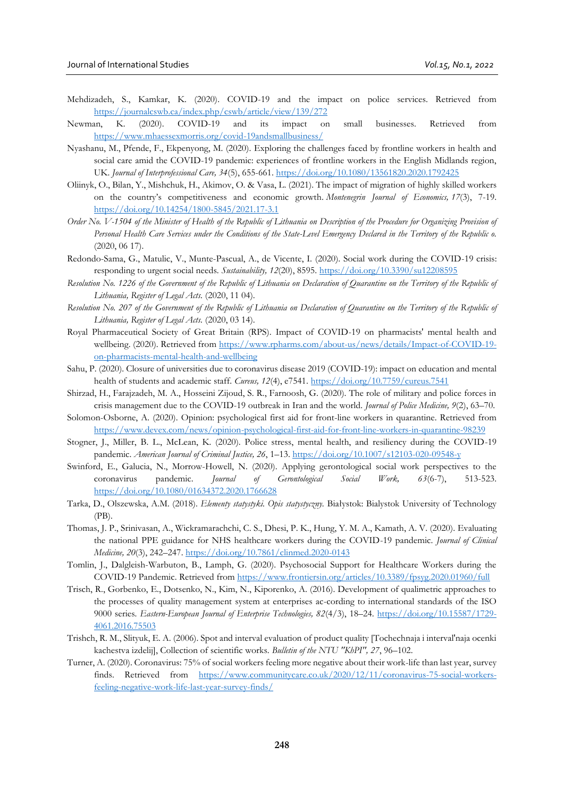- Mehdizadeh, S., Kamkar, K. (2020). COVID-19 and the impact on police services. Retrieved from <https://journalcswb.ca/index.php/cswb/article/view/139/272>
- Newman, K. (2020). COVID-19 and its impact on small businesses. Retrieved from <https://www.mhaessexmorris.org/covid-19andsmallbusiness/>
- Nyashanu, M., Pfende, F., Ekpenyong, M. (2020). Exploring the challenges faced by frontline workers in health and social care amid the COVID-19 pandemic: experiences of frontline workers in the English Midlands region, UK. *Journal of Interprofessional Care, 34*(5), 655-661[. https://doi.org/10.1080/13561820.2020.1792425](https://doi.org/10.1080/13561820.2020.1792425)
- Oliinyk, O., Bilan, Y., Mishchuk, H., Akimov, O. & Vasa, L. (2021). The impact of migration of highly skilled workers on the country's competitiveness and economic growth. *Montenegrin Journal of Economics, 17*(3), 7-19. <https://doi.org/10.14254/1800-5845/2021.17-3.1>
- *Order No. V-1504 of the Minister of Health of the Republic of Lithuania on Description of the Procedure for Organizing Provision of Personal Health Care Services under the Conditions of the State-Level Emergency Declared in the Territory of the Republic o.* (2020, 06 17).
- Redondo-Sama, G., Matulic, V., Munte-Pascual, A., de Vicente, I. (2020). Social work during the COVID-19 crisis: responding to urgent social needs. *Sustainability, 12*(20), 8595.<https://doi.org/10.3390/su12208595>
- *Resolution No. 1226 of the Government of the Republic of Lithuania on Declaration of Quarantine on the Territory of the Republic of Lithuania, Register of Legal Acts.* (2020, 11 04).
- *Resolution No. 207 of the Government of the Republic of Lithuania on Declaration of Quarantine on the Territory of the Republic of Lithuania, Register of Legal Acts.* (2020, 03 14).
- Royal Pharmaceutical Society of Great Britain (RPS). Impact of COVID-19 on pharmacists' mental health and wellbeing. (2020). Retrieved from [https://www.rpharms.com/about-us/news/details/Impact-of-COVID-19](https://www.rpharms.com/about-us/news/details/Impact-of-COVID-19-on-pharmacists-mental-health-and-wellbeing) [on-pharmacists-mental-health-and-wellbeing](https://www.rpharms.com/about-us/news/details/Impact-of-COVID-19-on-pharmacists-mental-health-and-wellbeing)
- Sahu, P. (2020). Closure of universities due to coronavirus disease 2019 (COVID-19): impact on education and mental health of students and academic staff. *Cureus, 12*(4), e7541.<https://doi.org/10.7759/cureus.7541>
- Shirzad, H., Farajzadeh, M. A., Hosseini Zijoud, S. R., Farnoosh, G. (2020). The role of military and police forces in crisis management due to the COVID-19 outbreak in Iran and the world. *Journal of Police Medicine, 9*(2), 63–70.
- Solomon-Osborne, A. (2020). Opinion: psychological first aid for front-line workers in quarantine. Retrieved from <https://www.devex.com/news/opinion-psychological-first-aid-for-front-line-workers-in-quarantine-98239>
- Stogner, J., Miller, B. L., McLean, K. (2020). Police stress, mental health, and resiliency during the COVID-19 pandemic. *American Journal of Criminal Justice, 26*, 1–13.<https://doi.org/10.1007/s12103-020-09548-y>
- Swinford, E., Galucia, N., Morrow-Howell, N. (2020). Applying gerontological social work perspectives to the coronavirus pandemic. *Journal of Gerontological Social Work, 63*(6-7), 513-523. <https://doi.org/10.1080/01634372.2020.1766628>
- Tarka, D., Olszewska, A.M. (2018). *Elementy statystyki. Opis statystyczny.* Białystok: Bialystok University of Technology (PB).
- Thomas, J. P., Srinivasan, A., Wickramarachchi, C. S., Dhesi, P. K., Hung, Y. M. A., Kamath, A. V. (2020). Evaluating the national PPE guidance for NHS healthcare workers during the COVID-19 pandemic. *Journal of Clinical Medicine, 20*(3), 242–247.<https://doi.org/10.7861/clinmed.2020-0143>
- Tomlin, J., Dalgleish-Warbuton, B., Lamph, G. (2020). Psychosocial Support for Healthcare Workers during the COVID-19 Pandemic. Retrieved from<https://www.frontiersin.org/articles/10.3389/fpsyg.2020.01960/full>
- Trisch, R., Gorbenko, E., Dotsenko, N., Kim, N., Kiporenko, A. (2016). Development of qualimetric approaches to the processes of quality management system at enterprises ac-cording to international standards of the ISO 9000 series. *Eastern-European Journal of Enterprise Technologies, 82*(4/3), 18–24. [https://doi.org/10.15587/1729-](https://doi.org/10.15587/1729-4061.2016.75503) [4061.2016.75503](https://doi.org/10.15587/1729-4061.2016.75503)
- Trishch, R. M., Slityuk, E. A. (2006). Spot and interval evaluation of product quality [Tochechnaja i interval'naja ocenki kachestva izdelij], Collection of scientific works. *Bulletin of the NTU "KhPI", 27*, 96–102.
- Turner, A. (2020). Coronavirus: 75% of social workers feeling more negative about their work-life than last year, survey finds. Retrieved from [https://www.communitycare.co.uk/2020/12/11/coronavirus-75-social-workers](https://www.communitycare.co.uk/2020/12/11/coronavirus-75-social-workers-feeling-negative-work-life-last-year-survey-finds/)[feeling-negative-work-life-last-year-survey-finds/](https://www.communitycare.co.uk/2020/12/11/coronavirus-75-social-workers-feeling-negative-work-life-last-year-survey-finds/)